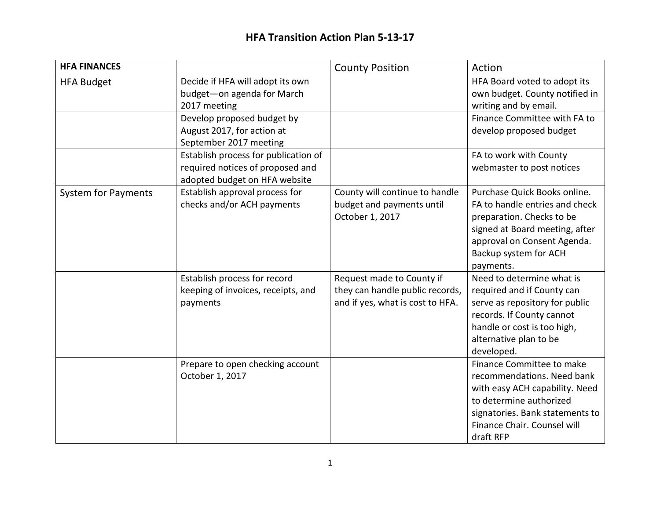| <b>HFA FINANCES</b>        |                                                                                                           | <b>County Position</b>                                                                           | Action                                                                                                                                                                                              |
|----------------------------|-----------------------------------------------------------------------------------------------------------|--------------------------------------------------------------------------------------------------|-----------------------------------------------------------------------------------------------------------------------------------------------------------------------------------------------------|
| <b>HFA Budget</b>          | Decide if HFA will adopt its own<br>budget-on agenda for March<br>2017 meeting                            |                                                                                                  | HFA Board voted to adopt its<br>own budget. County notified in<br>writing and by email.                                                                                                             |
|                            | Develop proposed budget by<br>August 2017, for action at<br>September 2017 meeting                        |                                                                                                  | Finance Committee with FA to<br>develop proposed budget                                                                                                                                             |
|                            | Establish process for publication of<br>required notices of proposed and<br>adopted budget on HFA website |                                                                                                  | FA to work with County<br>webmaster to post notices                                                                                                                                                 |
| <b>System for Payments</b> | Establish approval process for<br>checks and/or ACH payments                                              | County will continue to handle<br>budget and payments until<br>October 1, 2017                   | Purchase Quick Books online.<br>FA to handle entries and check<br>preparation. Checks to be<br>signed at Board meeting, after<br>approval on Consent Agenda.<br>Backup system for ACH<br>payments.  |
|                            | Establish process for record<br>keeping of invoices, receipts, and<br>payments                            | Request made to County if<br>they can handle public records,<br>and if yes, what is cost to HFA. | Need to determine what is<br>required and if County can<br>serve as repository for public<br>records. If County cannot<br>handle or cost is too high,<br>alternative plan to be<br>developed.       |
|                            | Prepare to open checking account<br>October 1, 2017                                                       |                                                                                                  | Finance Committee to make<br>recommendations. Need bank<br>with easy ACH capability. Need<br>to determine authorized<br>signatories. Bank statements to<br>Finance Chair. Counsel will<br>draft RFP |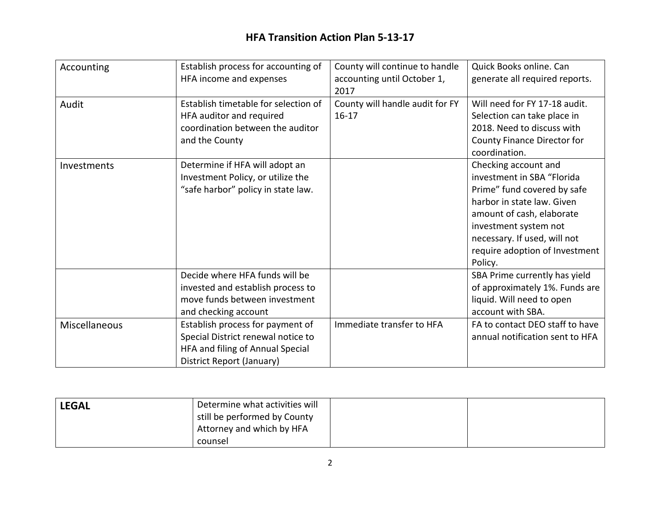| Accounting    | Establish process for accounting of  | County will continue to handle  | Quick Books online. Can            |
|---------------|--------------------------------------|---------------------------------|------------------------------------|
|               | HFA income and expenses              | accounting until October 1,     | generate all required reports.     |
|               |                                      | 2017                            |                                    |
| Audit         | Establish timetable for selection of | County will handle audit for FY | Will need for FY 17-18 audit.      |
|               | HFA auditor and required             | $16 - 17$                       | Selection can take place in        |
|               | coordination between the auditor     |                                 | 2018. Need to discuss with         |
|               | and the County                       |                                 | <b>County Finance Director for</b> |
|               |                                      |                                 | coordination.                      |
| Investments   | Determine if HFA will adopt an       |                                 | Checking account and               |
|               | Investment Policy, or utilize the    |                                 | investment in SBA "Florida         |
|               | "safe harbor" policy in state law.   |                                 | Prime" fund covered by safe        |
|               |                                      |                                 | harbor in state law. Given         |
|               |                                      |                                 | amount of cash, elaborate          |
|               |                                      |                                 | investment system not              |
|               |                                      |                                 | necessary. If used, will not       |
|               |                                      |                                 | require adoption of Investment     |
|               |                                      |                                 | Policy.                            |
|               | Decide where HFA funds will be       |                                 | SBA Prime currently has yield      |
|               | invested and establish process to    |                                 | of approximately 1%. Funds are     |
|               | move funds between investment        |                                 | liquid. Will need to open          |
|               | and checking account                 |                                 | account with SBA.                  |
| Miscellaneous | Establish process for payment of     | Immediate transfer to HFA       | FA to contact DEO staff to have    |
|               | Special District renewal notice to   |                                 | annual notification sent to HFA    |
|               | HFA and filing of Annual Special     |                                 |                                    |
|               | District Report (January)            |                                 |                                    |

| <b>LEGAL</b> | Determine what activities will<br>still be performed by County |  |
|--------------|----------------------------------------------------------------|--|
|              | Attorney and which by HFA                                      |  |
|              | counsel                                                        |  |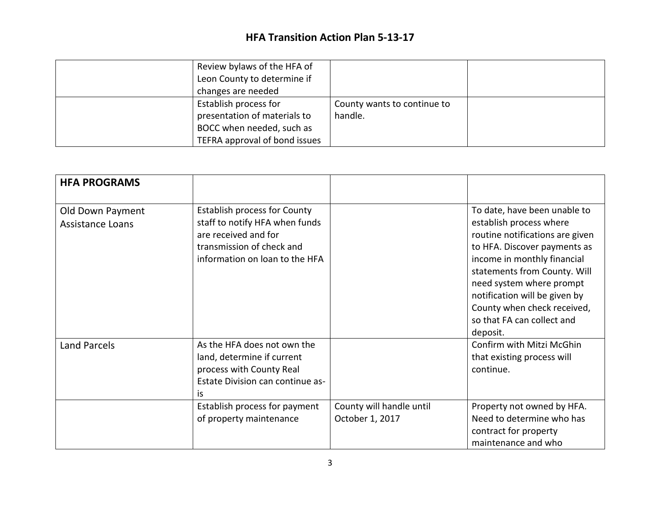| Review bylaws of the HFA of   |                             |  |
|-------------------------------|-----------------------------|--|
| Leon County to determine if   |                             |  |
| changes are needed            |                             |  |
| Establish process for         | County wants to continue to |  |
| presentation of materials to  | handle.                     |  |
| BOCC when needed, such as     |                             |  |
| TEFRA approval of bond issues |                             |  |

| <b>HFA PROGRAMS</b>                         |                                                                                                                                                              |                                             |                                                                                                                                                                                                                                                                                                                                 |
|---------------------------------------------|--------------------------------------------------------------------------------------------------------------------------------------------------------------|---------------------------------------------|---------------------------------------------------------------------------------------------------------------------------------------------------------------------------------------------------------------------------------------------------------------------------------------------------------------------------------|
| Old Down Payment<br><b>Assistance Loans</b> | <b>Establish process for County</b><br>staff to notify HFA when funds<br>are received and for<br>transmission of check and<br>information on loan to the HFA |                                             | To date, have been unable to<br>establish process where<br>routine notifications are given<br>to HFA. Discover payments as<br>income in monthly financial<br>statements from County. Will<br>need system where prompt<br>notification will be given by<br>County when check received,<br>so that FA can collect and<br>deposit. |
| <b>Land Parcels</b>                         | As the HFA does not own the<br>land, determine if current<br>process with County Real<br>Estate Division can continue as-<br>is                              |                                             | Confirm with Mitzi McGhin<br>that existing process will<br>continue.                                                                                                                                                                                                                                                            |
|                                             | Establish process for payment<br>of property maintenance                                                                                                     | County will handle until<br>October 1, 2017 | Property not owned by HFA.<br>Need to determine who has<br>contract for property<br>maintenance and who                                                                                                                                                                                                                         |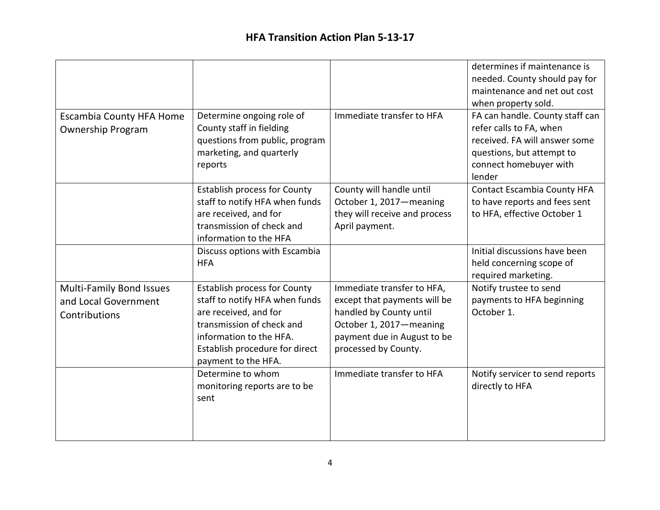|                                 |                                     |                               | determines if maintenance is       |
|---------------------------------|-------------------------------------|-------------------------------|------------------------------------|
|                                 |                                     |                               | needed. County should pay for      |
|                                 |                                     |                               | maintenance and net out cost       |
|                                 |                                     |                               | when property sold.                |
| <b>Escambia County HFA Home</b> | Determine ongoing role of           | Immediate transfer to HFA     | FA can handle. County staff can    |
| <b>Ownership Program</b>        | County staff in fielding            |                               | refer calls to FA, when            |
|                                 | questions from public, program      |                               | received. FA will answer some      |
|                                 | marketing, and quarterly            |                               | questions, but attempt to          |
|                                 | reports                             |                               | connect homebuyer with             |
|                                 |                                     |                               | lender                             |
|                                 | <b>Establish process for County</b> | County will handle until      | <b>Contact Escambia County HFA</b> |
|                                 | staff to notify HFA when funds      | October 1, 2017-meaning       | to have reports and fees sent      |
|                                 | are received, and for               | they will receive and process | to HFA, effective October 1        |
|                                 | transmission of check and           | April payment.                |                                    |
|                                 | information to the HFA              |                               |                                    |
|                                 | Discuss options with Escambia       |                               | Initial discussions have been      |
|                                 | <b>HFA</b>                          |                               | held concerning scope of           |
|                                 |                                     |                               | required marketing.                |
| <b>Multi-Family Bond Issues</b> | <b>Establish process for County</b> | Immediate transfer to HFA,    | Notify trustee to send             |
| and Local Government            | staff to notify HFA when funds      | except that payments will be  | payments to HFA beginning          |
| Contributions                   | are received, and for               | handled by County until       | October 1.                         |
|                                 | transmission of check and           | October 1, 2017-meaning       |                                    |
|                                 | information to the HFA.             | payment due in August to be   |                                    |
|                                 | Establish procedure for direct      | processed by County.          |                                    |
|                                 | payment to the HFA.                 |                               |                                    |
|                                 | Determine to whom                   | Immediate transfer to HFA     | Notify servicer to send reports    |
|                                 | monitoring reports are to be        |                               | directly to HFA                    |
|                                 | sent                                |                               |                                    |
|                                 |                                     |                               |                                    |
|                                 |                                     |                               |                                    |
|                                 |                                     |                               |                                    |
|                                 |                                     |                               |                                    |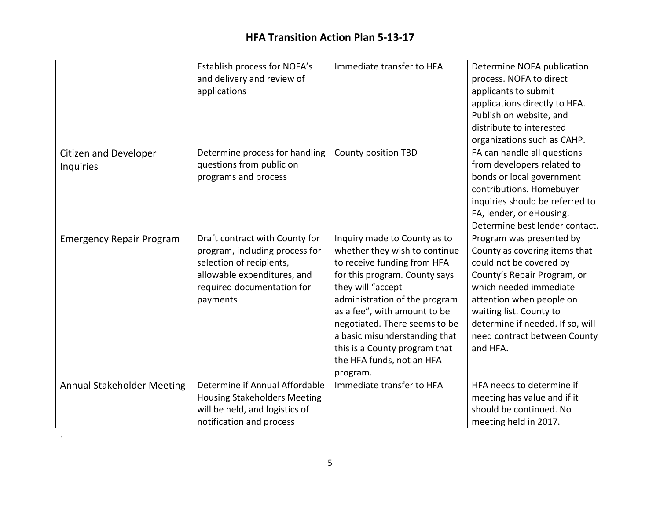|                                   | Establish process for NOFA's        | Immediate transfer to HFA     | Determine NOFA publication       |
|-----------------------------------|-------------------------------------|-------------------------------|----------------------------------|
|                                   | and delivery and review of          |                               | process. NOFA to direct          |
|                                   | applications                        |                               | applicants to submit             |
|                                   |                                     |                               | applications directly to HFA.    |
|                                   |                                     |                               | Publish on website, and          |
|                                   |                                     |                               | distribute to interested         |
|                                   |                                     |                               | organizations such as CAHP.      |
| <b>Citizen and Developer</b>      | Determine process for handling      | <b>County position TBD</b>    | FA can handle all questions      |
| Inquiries                         | questions from public on            |                               | from developers related to       |
|                                   | programs and process                |                               | bonds or local government        |
|                                   |                                     |                               | contributions. Homebuyer         |
|                                   |                                     |                               | inquiries should be referred to  |
|                                   |                                     |                               | FA, lender, or eHousing.         |
|                                   |                                     |                               | Determine best lender contact.   |
| <b>Emergency Repair Program</b>   | Draft contract with County for      | Inquiry made to County as to  | Program was presented by         |
|                                   | program, including process for      | whether they wish to continue | County as covering items that    |
|                                   | selection of recipients,            | to receive funding from HFA   | could not be covered by          |
|                                   | allowable expenditures, and         | for this program. County says | County's Repair Program, or      |
|                                   | required documentation for          | they will "accept             | which needed immediate           |
|                                   | payments                            | administration of the program | attention when people on         |
|                                   |                                     | as a fee", with amount to be  | waiting list. County to          |
|                                   |                                     | negotiated. There seems to be | determine if needed. If so, will |
|                                   |                                     | a basic misunderstanding that | need contract between County     |
|                                   |                                     | this is a County program that | and HFA.                         |
|                                   |                                     | the HFA funds, not an HFA     |                                  |
|                                   |                                     | program.                      |                                  |
| <b>Annual Stakeholder Meeting</b> | Determine if Annual Affordable      | Immediate transfer to HFA     | HFA needs to determine if        |
|                                   | <b>Housing Stakeholders Meeting</b> |                               | meeting has value and if it      |
|                                   | will be held, and logistics of      |                               | should be continued. No          |
|                                   | notification and process            |                               | meeting held in 2017.            |

.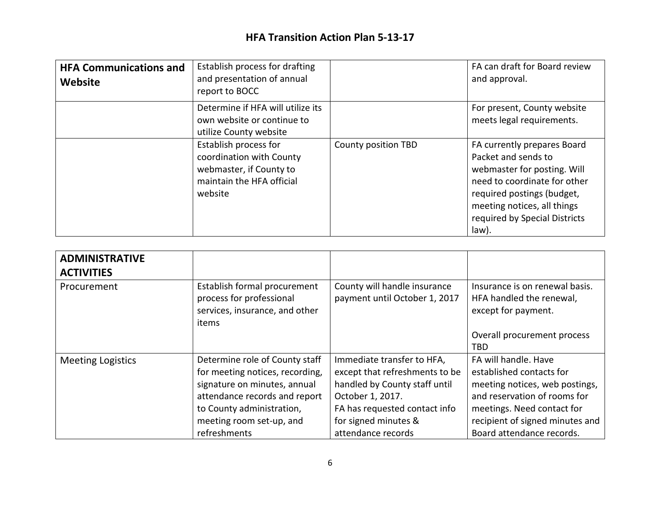| <b>HFA Communications and</b><br>Website | Establish process for drafting<br>and presentation of annual<br>report to BOCC                                       |                     | FA can draft for Board review<br>and approval.                                                                                                                                                                           |
|------------------------------------------|----------------------------------------------------------------------------------------------------------------------|---------------------|--------------------------------------------------------------------------------------------------------------------------------------------------------------------------------------------------------------------------|
|                                          | Determine if HFA will utilize its<br>own website or continue to<br>utilize County website                            |                     | For present, County website<br>meets legal requirements.                                                                                                                                                                 |
|                                          | Establish process for<br>coordination with County<br>webmaster, if County to<br>maintain the HFA official<br>website | County position TBD | FA currently prepares Board<br>Packet and sends to<br>webmaster for posting. Will<br>need to coordinate for other<br>required postings (budget,<br>meeting notices, all things<br>required by Special Districts<br>law). |

| <b>ADMINISTRATIVE</b><br><b>ACTIVITIES</b> |                                                                                                                                                                                                             |                                                                                                                                                                                                  |                                                                                                                                                                                                                  |
|--------------------------------------------|-------------------------------------------------------------------------------------------------------------------------------------------------------------------------------------------------------------|--------------------------------------------------------------------------------------------------------------------------------------------------------------------------------------------------|------------------------------------------------------------------------------------------------------------------------------------------------------------------------------------------------------------------|
| Procurement                                | Establish formal procurement<br>process for professional<br>services, insurance, and other<br>items                                                                                                         | County will handle insurance<br>payment until October 1, 2017                                                                                                                                    | Insurance is on renewal basis.<br>HFA handled the renewal,<br>except for payment.                                                                                                                                |
|                                            |                                                                                                                                                                                                             |                                                                                                                                                                                                  | Overall procurement process<br>TBD                                                                                                                                                                               |
| <b>Meeting Logistics</b>                   | Determine role of County staff<br>for meeting notices, recording,<br>signature on minutes, annual<br>attendance records and report<br>to County administration,<br>meeting room set-up, and<br>refreshments | Immediate transfer to HFA,<br>except that refreshments to be<br>handled by County staff until<br>October 1, 2017.<br>FA has requested contact info<br>for signed minutes &<br>attendance records | FA will handle. Have<br>established contacts for<br>meeting notices, web postings,<br>and reservation of rooms for<br>meetings. Need contact for<br>recipient of signed minutes and<br>Board attendance records. |